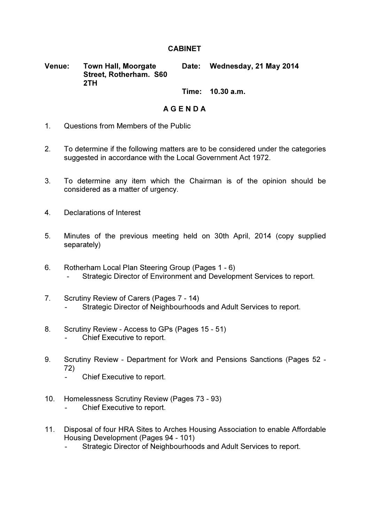## **CABINET**

Venue: Town Hall, Moorgate Street, Rotherham. S60 2TH Date: Wednesday, 21 May 2014

## Time: 10.30 a.m.

## A G E N D A

- 1. Questions from Members of the Public
- 2. To determine if the following matters are to be considered under the categories suggested in accordance with the Local Government Act 1972.
- 3. To determine any item which the Chairman is of the opinion should be considered as a matter of urgency.
- 4. Declarations of Interest
- 5. Minutes of the previous meeting held on 30th April, 2014 (copy supplied separately)
- 6. Rotherham Local Plan Steering Group (Pages 1 6) - Strategic Director of Environment and Development Services to report.
- 7. Scrutiny Review of Carers (Pages 7 14) Strategic Director of Neighbourhoods and Adult Services to report.
- 8. Scrutiny Review Access to GPs (Pages 15 51) - Chief Executive to report.
- 9. Scrutiny Review Department for Work and Pensions Sanctions (Pages 52 72)
	- Chief Executive to report.
- 10. Homelessness Scrutiny Review (Pages 73 93)
	- Chief Executive to report.
- 11. Disposal of four HRA Sites to Arches Housing Association to enable Affordable Housing Development (Pages 94 - 101)
	- Strategic Director of Neighbourhoods and Adult Services to report.